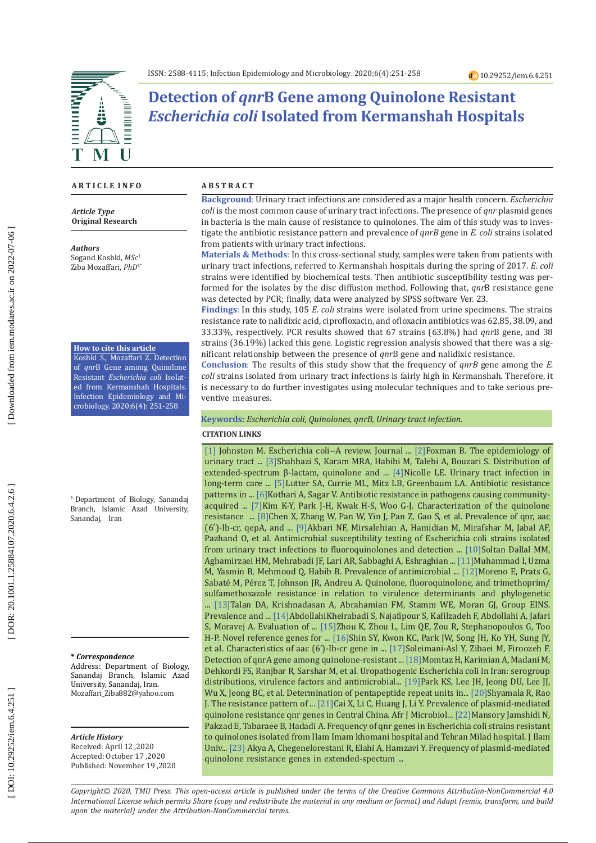

**Detection of** *qnr***B Gene among Quinolone Resistant**  *Escherichia coli* **Isolated from Kermanshah Hospitals**

### **A R T I C L E I N F O**

*Article Type* **Original Research**

*Authors*

Sogand Koshki, *MSc* 1 Ziba Mozaffari, *PhD*1\*

### **How to cite this article**

Koshki S., Mozaffari Z. Detection of *qnr*B Gene among Quinolone Resistant *Escherichia coli* Isolat ed from Kermanshah Hospitals. Infection Epidemiology and Mi crobiology. 2020;6(4): 251-258

<sup>1</sup> Department of Biology, Sanandaj Branch, Islamic Azad University, Sanandaj, Iran

#### **\*** *Correspondence*

Address: Department of Biology, Sanandaj Branch, Islamic Azad University, Sanandaj, Iran. Mozaffari\_Ziba882@yahoo.com

# *Article History*

Received: April 12 ,2020 Accepted: October 17 ,2020 Published: November 19 ,2020

#### **A B S T R A C T**

**Background**: Urinary tract infections are considered as a major health concern. *Escherichia coli* is the most common cause of urinary tract infections. The presence of *qnr* plasmid genes in bacteria is the main cause of resistance to quinolones. The aim of this study was to inves tigate the antibiotic resistance pattern and prevalence of *qnrB* gene in *E. coli* strains isolated from patients with urinary tract infections.

**Materials & Methods** : In this cross-sectional study, samples were taken from patients with urinary tract infections, referred to Kermanshah hospitals during the spring of 2017. *E. coli* strains were identified by biochemical tests. Then antibiotic susceptibility testing was per formed for the isolates by the disc diffusion method. Following that, *qnr*B resistance gene was detected by PCR; finally, data were analyzed by SPSS software Ver. 23.

**Findings** : In this study, 105 *E. coli* strains were isolated from urine specimens. The strains resistance rate to nalidixic acid, ciprofloxacin, and ofloxacin antibiotics was 62.85, 38.09, and 33.33%, respectively. PCR results showed that 67 strains (63.8%) had *qnr*B gene, and 38 strains (36.19%) lacked this gene. Logistic regression analysis showed that there was a sig nificant relationship between the presence of *qnr*B gene and nalidixic resistance.

**Conclusion** : The results of this study show that the frequency of *qnrB* gene among the *E. coli* strains isolated from urinary tract infections is fairly high in Kermanshah. Therefore, it is necessary to do further investigates using molecular techniques and to take serious pre ventive measures.

**Keywords:** *Escherichia coli, Quinolones, qnrB, Urinary tract infection* .

### **CITATION LINKS**

[\[1\]](http://europepmc.org/abstract/MED/10944877) Johnston M. Escherichia coli--A review. Journal ... [2] Foxman B. The epidemiology of urinary tract ... [\[3\]S](https://www.sciencedirect.com/science/article/pii/S2213716518300584)hahbazi S, Karam MRA, Habibi M, Talebi A, Bouzari S. Distribution of extended-spectrum β-lactam, quinolone and ... [\[4\]N](https://www.google.com/url?sa=t&rct=j&q=&esrc=s&source=web&cd=&cad=rja&uact=8&ved=2ahUKEwj156mLqsPtAhVsmIsKHdxyASIQFjADegQIBxAC&url=https%3A%2F%2Fidhjournal.com%2Farticle%2FS1835-5617\(16\)30048-5%2Ffulltext&usg=AOvVaw3MlvQxMlu5Er40OMkSRB3x)icolle LE. Urinary tract infection in long-term care ... [\[5\]](https://jamanetwork.com/journals/jamapediatrics/article-abstract/486136)Lutter SA, Currie ML, Mitz LB, Greenbaum LA. Antibiotic resistance patterns in ... [\[6\]K](http://www.jidc.org/index.php/journal/article/view/196)othari A, Sagar V. Antibiotic resistance in pathogens causing communityacquired ... [\[7\]](https://www.sciencedirect.com/science/article/pii/S0168160511000444)Kim K-Y, Park J-H, Kwak H-S, Woo G-J. Characterization of the quinolone resistance ... [\[8\]](https://aac.asm.org/content/56/6/3423.short)Chen X, Zhang W, Pan W, Yin J, Pan Z, Gao S, et al. Prevalence of qnr, aac (6′)-Ib-cr, qepA, and ... [\[9\]](https://www.sid.ir/en/journal/ViewPaper.aspx?ID=79523)Akbari NF, Mirsalehian A, Hamidian M, Mirafshar M, Jabal AF, Pazhand O, et al. Antimicrobial susceptibility testing of Escherichia coli strains isolated from urinary tract infections to fluoroquinolones and detection ... [\[10\]](http://search.ebscohost.com/login.aspx?direct=true&profile=ehost&scope=site&authtype=crawler&jrnl=16831764&AN=78154065&h=QMWBnLu%2BMBNJNitYpDpwOvHTW9eH3oBGwrd5GE3QWSRb4jEtBvII5dGCbls%2Ft%2FNalyaDCNzz9x%2BCDlkPv9JJmg%3D%3D&crl=c)Soltan Dallal MM, Aghamirzaei HM, Mehrabadi JF, Lari AR, Sabbaghi A, Eshraghian ... [\[11\]M](https://www.scielo.br/scielo.php?pid=S1517-83822011000200008&script=sci_arttext&tlng=pt)uhammad I, Uzma M, Yasmin B, Mehmood Q, Habib B. Prevalence of antimicrobial ... [\[12\]M](https://academic.oup.com/jac/article-abstract/57/2/204/804842)oreno E, Prats G, Sabaté M, Pérez T, Johnson JR, Andreu A. Quinolone, fluoroquinolone, and trimethoprim/ sulfamethoxazole resistance in relation to virulence determinants and phylogenetic ... [\[13\]](https://academic.oup.com/cid/article-abstract/47/9/1150/460393)Talan DA, Krishnadasan A, Abrahamian FM, Stamm WE, Moran GJ, Group EINS. Prevalence and ... [\[14\]](http://journal.fums.ac.ir/browse.php?a_id=143&slc_lang=en&sid=1&printcase=1&hbnr=1&hmb=1)AbdollahiKheirabadi S, Najafipour S, Kafilzadeh F, Abdollahi A, Jafari S, Moravej A. Evaluation of ... [\[15\]](https://bmcmolbiol.biomedcentral.com/articles/10.1186/1471-2199-12-18)Zhou K, Zhou L, Lim QE, Zou R, Stephanopoulos G, Too H-P. Novel reference genes for ... [\[16\]](http://www.dbpia.co.kr/Journal/articleDetail?nodeId=NODE08903276)Shin SY, Kwon KC, Park JW, Song JH, Ko YH, Sung JY, et al. Characteristics of aac (6')-Ib-cr gene in ... [\[17\]](http://search.ebscohost.com/login.aspx?direct=true&profile=ehost&scope=site&authtype=crawler&jrnl=10297855&asa=Y&AN=91675122&h=6haMQozmiOeIxGr8wmJw0JfuaSpmUNP42kGuVj18opI3%2B5pmEAj44VwrMR72zO4m2Yho851Ip%2BNgEWVyTPSyHA%3D%3D&crl=c)Soleimani-Asl Y, Zibaei M, Firoozeh F. Detection of qnrA gene among quinolone-resistant ... [\[18\]M](https://link.springer.com/article/10.1186/1476-0711-12-8)omtaz H, Karimian A, Madani M, Dehkordi FS, Ranjbar R, Sarshar M, et al. Uropathogenic Escherichia coli in Iran: serogroup distributions, virulence factors and antimicrobial... [\[19\]](https://aac.asm.org/content/55/9/4475.short)Park KS, Lee JH, Jeong DU, Lee JJ, Wu X, Jeong BC, et al. Determination of pentapeptide repeat units in... [\[20\]](https://www.google.com/url?sa=t&rct=j&q=&esrc=s&source=web&cd=&cad=rja&uact=8&ved=2ahUKEwiW9vTersPtAhXI-yoKHbgGA3MQFjAAegQIAhAC&url=https%3A%2F%2Fwww.scholarsresearchlibrary.com%2Farticles%2Fthe-resistance-pattern-of-escherichia-coli-to-ciprofloxacin-in-a\
-tertiary-carehospital.pdf&usg=AOvVaw39WBLkqPsBgqWW4Z7OHgWA) Shyamala R, Rao J. The resistance pattern of ... [\[21\]C](https://academicjournals.org/journal/AJMR/article-abstract/94A937E23818)ai X, Li C, Huang J, Li Y. Prevalence of plasmid-mediated quinolone resistance qnr genes in Central China. Afr J Microbiol... [22] Mansory Jamshidi N, Pakzad E, Tabaraee B, Hadadi A. Frequency of qnr genes in Escherichia coli strains resistant to quinolones isolated from Ilam Imam khomani hospital and Tehran Milad hospital. J Ilam Univ... [\[23\]](https://www.google.com/url?sa=t&rct=j&q=&esrc=s&source=web&cd=&cad=rja&uact=8&ved=2ahUKEwiX4Y6RscPtAhXOlosKHSNMAKwQFjAAegQIAhAC&url=http%3A%2F%2Fjmums.mazums.ac.ir%2Farticle-1-9114-en.html&usg=AOvVaw2tD79fs1mmgqYgkWc4gQYX) Akya A, Chegenelorestani R, Elahi A, Hamzavi Y. Frequency of plasmid-mediated quinolone resistance genes in extended-spectum ...

*Copyright© 2020, TMU Press. This open-access article is published under the terms of the Creative Commons Attribution-NonCommercial 4.0 International License which permits Share (copy and redistribute the material in any medium or format) and Adapt (remix, transform, and build upon the material) under the Attribution-NonCommercial terms.*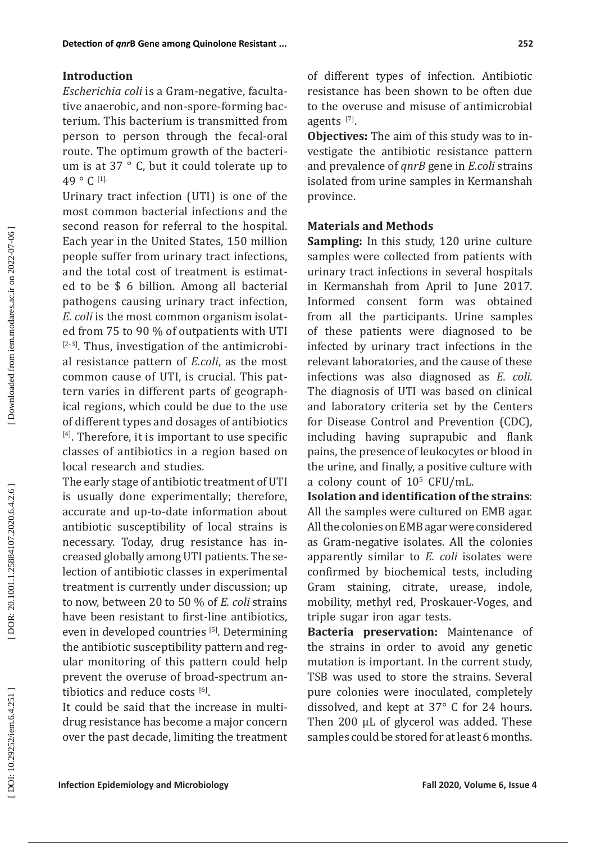# **Introduction**

*Escherichia coli* is a Gram-negative, faculta tive anaerobic, and non-spore-forming bac terium. This bacterium is transmitted from person to person through the fecal-oral route. The optimum growth of the bacteri um is at 37 ° C, but it could tolerate up to 49 ° C [1].

Urinary tract infection (UTI) is one of the most common bacterial infections and the second reason for referral to the hospital. Each year in the United States, 150 million people suffer from urinary tract infections, and the total cost of treatment is estimat ed to be \$ 6 billion. Among all bacterial pathogens causing urinary tract infection, *E. coli* is the most common organism isolat ed from 75 to 90 % of outpatients with UTI  $[2-3]$ . Thus, investigation of the antimicrobial resistance pattern of *E.coli*, as the most common cause of UTI, is crucial. This pat tern varies in different parts of geograph ical regions, which could be due to the use of different types and dosages of antibiotics [4]. Therefore, it is important to use specific classes of antibiotics in a region based on local research and studies.

The early stage of antibiotic treatment of UTI is usually done experimentally; therefore, accurate and up-to-date information about antibiotic susceptibility of local strains is necessary. Today, drug resistance has in creased globally among UTI patients. The se lection of antibiotic classes in experimental treatment is currently under discussion; up to now, between 20 to 50 % of *E. coli* strains have been resistant to first-line antibiotics, even in developed countries [5]. Determining the antibiotic susceptibility pattern and reg ular monitoring of this pattern could help prevent the overuse of broad-spectrum an tibiotics and reduce costs  $^{[6]}$ .

It could be said that the increase in multi drug resistance has become a major concern over the past decade, limiting the treatment of different types of infection. Antibiotic resistance has been shown to be often due to the overuse and misuse of antimicrobial agents [7].

**Objectives:** The aim of this study was to in vestigate the antibiotic resistance pattern and prevalence of *qnrB* gene in *E.coli* strains isolated from urine samples in Kermanshah province .

# **Materials and Methods**

**Sampling:** In this study, 120 urine culture samples were collected from patients with urinary tract infections in several hospitals in Kermanshah from April to June 2017. Informed consent form was obtained from all the participants. Urine samples of these patients were diagnosed to be infected by urinary tract infections in the relevant laboratories, and the cause of these infections was also diagnosed as *E. coli*. The diagnosis of UTI was based on clinical and laboratory criteria set by the Centers for Disease Control and Prevention (CDC), including having suprapubic and flank pains, the presence of leukocytes or blood in the urine, and finally, a positive culture with a colony count of  $10^{\circ}$  CFU/mL.

**Isolation and identification of the strains**: All the samples were cultured on EMB agar. All the colonies on EMB agar were considered as Gram-negative isolates. All the colonies apparently similar to *E. coli* isolates were confirmed by biochemical tests, including Gram staining, citrate, urease, indole, mobility, methyl red, Proskauer-Voges, and triple sugar iron agar tests.

**Bacteria preservation:** Maintenance of the strains in order to avoid any genetic mutation is important. In the current study, TSB was used to store the strains. Several pure colonies were inoculated, completely dissolved, and kept at 37° C for 24 hours. Then 200 μL of glycerol was added. These samples could be stored for at least 6 months .

DOI: 10.29252/iem.6.4.251]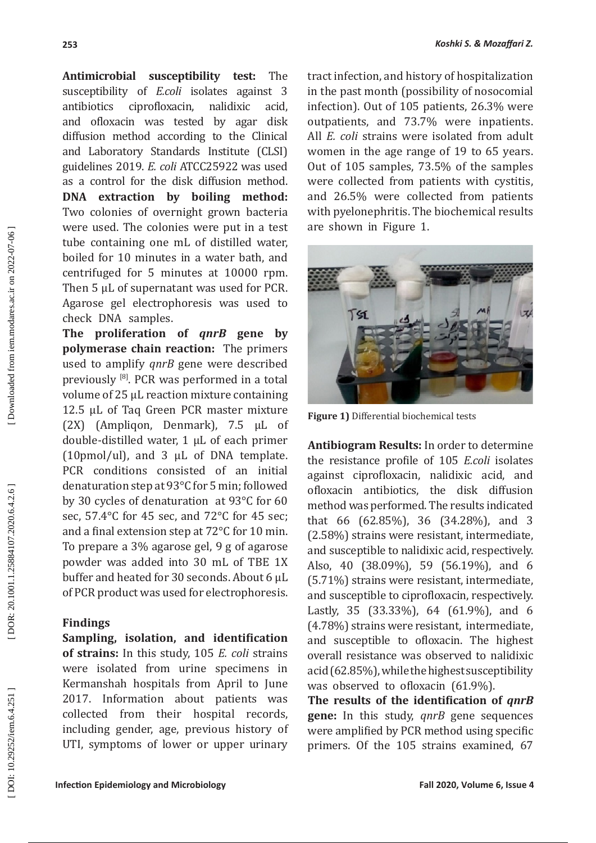**Antimicrobial susceptibility test:** The susceptibility of *E.coli* isolates against 3<br>antibiotics ciprofloxacin, nalidixic acid. ciprofloxacin, nalidixic acid, and ofloxacin was tested by agar disk diffusion method according to the Clinical and Laboratory Standards Institute (CLSI) guidelines 2019. *E. coli* ATCC25922 was used as a control for the disk diffusion method. **DNA extraction by boiling method:** Two colonies of overnight grown bacteria were used. The colonies were put in a test tube containing one mL of distilled water, boiled for 10 minutes in a water bath, and centrifuged for 5 minutes at 10000 rpm. Then 5 μL of supernatant was used for PCR. Agarose gel electrophoresis was used to check DNA samples.

**The proliferation of** *qnrB* **gene by polymerase chain reaction:** The primers used to amplify *qnrB* gene were described previously [8]. PCR was performed in a total volume of 25 µL reaction mixture containing 12.5 µL of Taq Green PCR master mixture (2X) (Ampliqon, Denmark), 7.5 µL of double-distilled water, 1 µL of each primer (10pmol/ul), and 3 µL of DNA template. PCR conditions consisted of an initial denaturation step at 93°C for 5 min; followed by 30 cycles of denaturation at 93°C for 60 sec, 57.4°C for 45 sec, and 72°C for 45 sec; and a final extension step at 72°C for 10 min. To prepare a 3% agarose gel, 9 g of agarose powder was added into 30 mL of TBE 1X buffer and heated for 30 seconds. About 6 μL of PCR product was used for electrophoresis.

### **Findings**

**Sampling, isolation, and identification of strains:** In this study, 105 *E. coli* strains were isolated from urine specimens in Kermanshah hospitals from April to June 2017. Information about patients was collected from their hospital records, including gender, age, previous history of UTI, symptoms of lower or upper urinary

tract infection, and history of hospitalization in the past month (possibility of nosocomial infection). Out of 105 patients, 26.3% were outpatients, and 73.7% were inpatients. All *E. coli* strains were isolated from adult women in the age range of 19 to 65 years. Out of 105 samples, 73.5% of the samples were collected from patients with cystitis, and 26.5% were collected from patients with pyelonephritis. The biochemical results are shown in Figure 1.

*Koshki S. & Mozaffari Z.*



**Figure 1)** Differential biochemical tests

**Antibiogram Results:** In order to determine the resistance profile of 105 *E.coli* isolates against ciprofloxacin, nalidixic acid, and ofloxacin antibiotics, the disk diffusion method was performed. The results indicated that 66 (62.85%), 36 (34.28%), and 3 (2.58%) strains were resistant, intermediate, and susceptible to nalidixic acid, respectively. Also, 40 (38.09%), 59 (56.19%), and 6 (5.71%) strains were resistant, intermediate, and susceptible to ciprofloxacin, respectively. Lastly, 35 (33.33%), 64 (61.9%), and 6 (4.78%) strains were resistant, intermediate, and susceptible to ofloxacin. The highest overall resistance was observed to nalidixic acid (62.85%), while the highest susceptibility was observed to ofloxacin (61.9%).

**The results of the identification of** *qnrB*  **gene:** In this study, *qnrB* gene sequences were amplified by PCR method using specific primers. Of the 105 strains examined, 67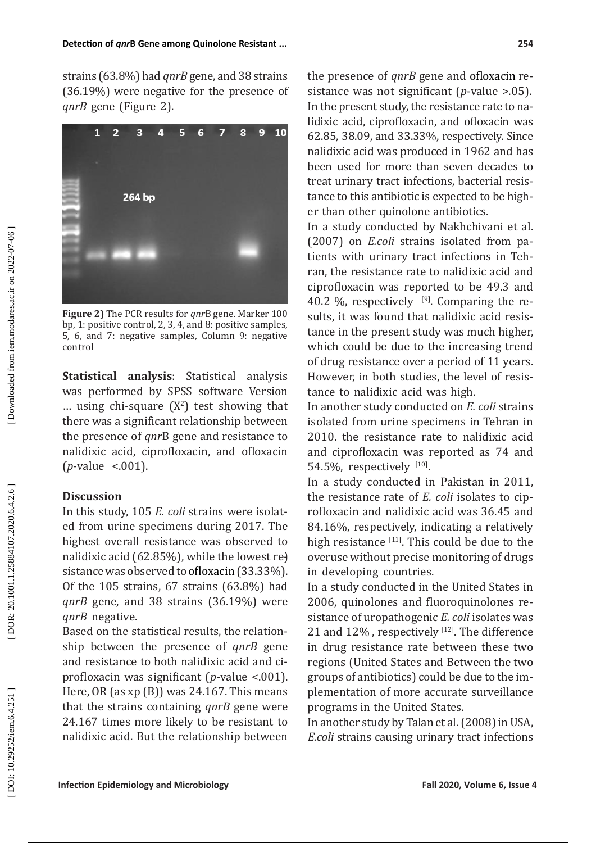strains (63.8 %) had *qnrB* gene, and 38 strains (36.19 %) were negative for the presence of *qnrB* gene (Figure 2).



**Figure 2)** The PCR results for *qnr*B gene. Marker 100 bp, 1: positive control, 2, 3, 4, and 8: positive samples, 5, 6, and 7: negative samples, Column 9: negative control

**Statistical analysis**: Statistical analysis was performed by SPSS software Version  $\ldots$  using chi-square  $(X^2)$  test showing that there was a significant relationship between the presence of *qnr*B gene and resistance to nalidixic acid, ciprofloxacin, and ofloxacin (*p*-value <.001).

# **Discussion**

In this study, 105 *E. coli* strains were isolat ed from urine specimens during 2017. The highest overall resistance was observed to nalidixic acid (62.85%), while the lowest re<del>)</del> sistance was observed to ofloxacin (33.33 %). Of the 105 strains, 67 strains (63.8 %) had *qnrB* gene, and 38 strains (36.19 %) were *qnrB* negative.

Based on the statistical results, the relation ship between the presence of *qnrB* gene and resistance to both nalidixic acid and ci profloxacin was significant ( *p*-value <.001). Here, OR (as xp (B)) was 24.167. This means that the strains containing *qnrB* gene were 24.167 times more likely to be resistant to nalidixic acid. But the relationship between

the presence of *qnrB* gene and ofloxacin re sistance was not significant ( *p*-value >.05). In the present study, the resistance rate to na lidixic acid, ciprofloxacin, and ofloxacin was 62.85, 38.09, and 33.33%, respectively. Since nalidixic acid was produced in 1962 and has been used for more than seven decades to treat urinary tract infections, bacterial resis tance to this antibiotic is expected to be high er than other quinolone antibiotics .

In a study conducted by Nakhchivani et al. (2007) on *E.coli* strains isolated from patients with urinary tract infections in Teh ran, the resistance rate to nalidixic acid and ciprofloxacin was reported to be 49.3 and 40.2  $\%$ , respectively  $\left[ \begin{array}{cc} |9|. \end{array} \right]$  Comparing the results, it was found that nalidixic acid resis tance in the present study was much higher, which could be due to the increasing trend of drug resistance over a period of 11 years. However, in both studies, the level of resis tance to nalidixic acid was high.

In another study conducted on *E. coli* strains isolated from urine specimens in Tehran in 2010. the resistance rate to nalidixic acid and ciprofloxacin was reported as 74 and  $54.5\%$ , respectively  $1^{10}$ .

In a study conducted in Pakistan in 2011, the resistance rate of *E. coli* isolates to cip rofloxacin and nalidixic acid was 36.45 and 84.16 %, respectively, indicating a relatively high resistance  $[11]$ . This could be due to the overuse without precise monitoring of drugs in developing countries.

In a study conducted in the United States in 2006, quinolones and fluoroquinolones re sistance of uropathogenic *E. coli* isolates was 21 and  $12\%$  , respectively  $^{12}$ . The difference in drug resistance rate between these two regions (United States and Between the two groups of antibiotics) could be due to the im plementation of more accurate surveillance programs in the United States.

In another study by Talan et al. (2008) in USA, *E.coli* strains causing urinary tract infections

DOI: 10.29252/iem.6.4.251]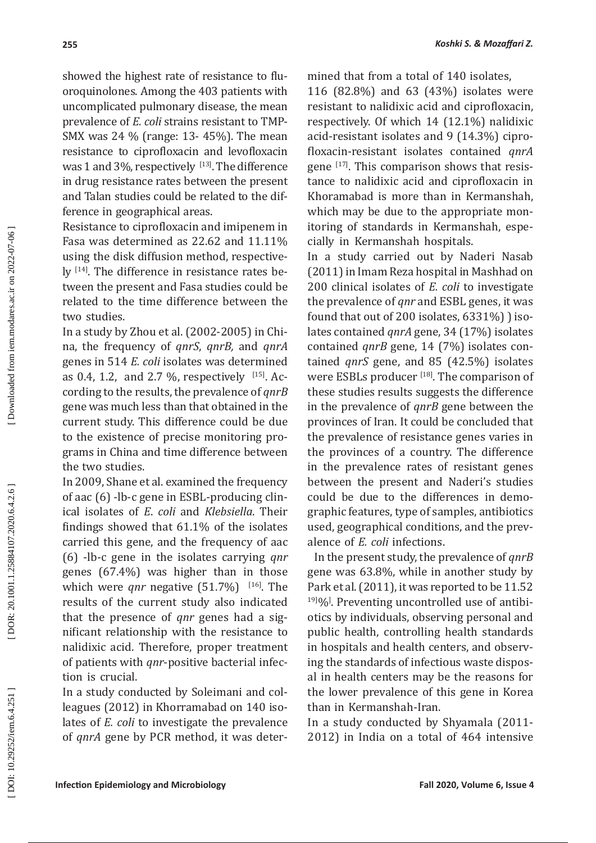showed the highest rate of resistance to flu oroquinolones. Among the 403 patients with uncomplicated pulmonary disease, the mean prevalence of *E. coli* strains resistant to TMP-SMX was 24 % (range: 13- 45%). The mean resistance to ciprofloxacin and levofloxacin was  $1$  and  $3\%$ , respectively  $\frac{1}{3}$ . The difference in drug resistance rates between the present and Talan studies could be related to the difference in geographical areas.

Resistance to ciprofloxacin and imipenem in Fasa was determined as 22.62 and 11.11% using the disk diffusion method, respective ly  $114$ . The difference in resistance rates between the present and Fasa studies could be related to the time difference between the two studies.

In a study by Zhou et al.  $(2002$ - $2005)$  in China, the frequency of *qnrS*, *qnrB,* and *qnrA* genes in 514 *E. coli* isolates was determined as  $0.4$ ,  $1.2$ , and  $2.7\%$ , respectively  $\left| \cdot \right|$ . According to the results, the prevalence of *qnrB* gene was much less than that obtained in the current study. This difference could be due to the existence of precise monitoring pro grams in China and time difference between the two studies .

In 2009, Shane et al. examined the frequency of aac (6) -lb-c gene in ESBL-producing clin ical isolates of *E*. *coli* and *Klebsiella*. Their findings showed that 61.1% of the isolates carried this gene, and the frequency of aac (6) -lb-c gene in the isolates carrying *qnr* genes (67.4 %) was higher than in those which were  $qnr$  negative  $(51.7%)$  <sup>[16]</sup>. The results of the current study also indicated that the presence of *qnr* genes had a sig nificant relationship with the resistance to nalidixic acid. Therefore, proper treatment of patients with *qnr*-positive bacterial infec tion is crucial.

In a study conducted by Soleimani and col leagues (2012) in Khorramabad on 140 iso lates of *E. coli* to investigate the prevalence of *qnrA* gene by PCR method, it was deter - mined that from a total of 140 isolates,

116 (82.8%) and 63 (43%) isolates were resistant to nalidixic acid and ciprofloxacin, respectively. Of which 14 (12.1%) nalidixic acid-resistant isolates and 9 (14.3%) cipro floxacin-resistant isolates contained *qnrA* gene  $[17]$ . This comparison shows that resistance to nalidixic acid and ciprofloxacin in Khoramabad is more than in Kermanshah, which may be due to the appropriate mon itoring of standards in Kermanshah, espe cially in Kermanshah hospitals .

In a study carried out by Naderi Nasab (2011) in Imam Reza hospital in Mashhad on 200 clinical isolates of *E. coli* to investigate the prevalence of *qnr* and ESBL genes, it was found that out of  $200$  isolates,  $6331\%$ )  $\,$  isolates contained *qnrA* gene, 34 (17%) isolates contained *qnrB* gene, 14 (7%) isolates con tained *qnrS* gene, and 85 (42.5%) isolates were ESBLs producer [18]. The comparison of these studies results suggests the difference in the prevalence of *qnrB* gene between the provinces of Iran. It could be concluded that the prevalence of resistance genes varies in the provinces of a country. The difference in the prevalence rates of resistant genes between the present and Naderi's studies could be due to the differences in demo graphic features, type of samples, antibiotics used, geographical conditions, and the prev alence of *E. coli* infections .

 In the present study, the prevalence of *qnrB* gene was 63.8 %, while in another study by Park et al. (2011), it was reported to be 11.52 <sup>19]0</sup>%<sup>[2]</sup>. Preventing uncontrolled use of antibiotics by individuals, observing personal and public health, controlling health standards in hospitals and health centers, and observ ing the standards of infectious waste dispos al in health centers may be the reasons for the lower prevalence of this gene in Korea than in Kermanshah-Iran .

In a study conducted by Shyamala (2011- 2012) in India on a total of 464 intensive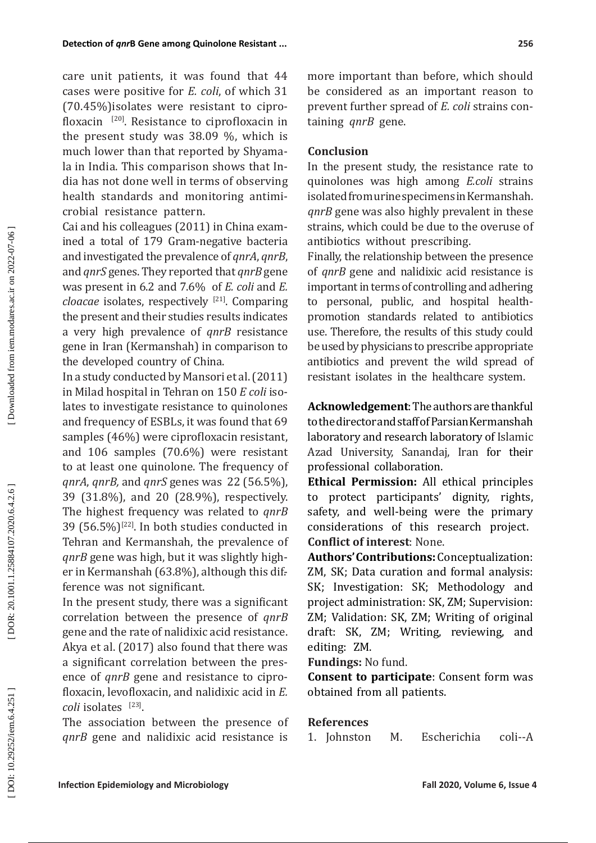care unit patients, it was found that 44 cases were positive for *E. coli*, of which 31 (70.45%)isolates were resistant to cipro floxacin [20]. Resistance to ciprofloxacin in the present study was 38.09 %, which is much lower than that reported by Shyama la in India. This comparison shows that In dia has not done well in terms of observing health standards and monitoring antimi crobial resistance pattern.

Cai and his colleagues (2011) in China exam ined a total of 179 Gram-negative bacteria and investigated the prevalence of *qnrA*, *qnrB*, and *qnrS* genes. They reported that *qnrB* gene was present in 6.2 and 7.6 % of *E. coli* and *E. cloacae* isolates, respectively [21]. Comparing the present and their studies results indicates a very high prevalence of *qnrB* resistance gene in Iran (Kermanshah) in comparison to the developed country of China.

In a study conducted by Mansori et al. (2011) in Milad hospital in Tehran on 150 *E coli* iso lates to investigate resistance to quinolones and frequency of ESBLs, it was found that 69 samples (46 %) were ciprofloxacin resistant, and 106 samples (70.6 %) were resistant to at least one quinolone. The frequency of *qnrA*, *qnrB,* and *qnrS* genes was 22 (56.5%), 39 (31.8%), and 20 (28.9%), respectively. The highest frequency was related to *qnrB* 39 (56.5%)<sup>[22]</sup>. In both studies conducted in Tehran and Kermanshah, the prevalence of *qnrB* gene was high, but it was slightly high er in Kermanshah (63.8 %), although this dif-. ference was not significant .

In the present study, there was a significant correlation between the presence of *qnrB* gene and the rate of nalidixic acid resistance. Akya et al. (2017) also found that there was a significant correlation between the pres ence of *qnrB* gene and resistance to cipro floxacin, levofloxacin, and nalidixic acid in *E. coli* isolates [23] .

The association between the presence of *qnrB* gene and nalidixic acid resistance is

more important than before, which should be considered as an important reason to prevent further spread of *E. coli* strains con taining *qnrB* gene .

# **Conclusion**

In the present study, the resistance rate to quinolones was high among *E.coli* strains isolated from urine specimens in Kermanshah. *qnrB* gene was also highly prevalent in these strains, which could be due to the overuse of antibiotics without prescribing.

Finally, the relationship between the presence of *qnrB* gene and nalidixic acid resistance is important in terms of controlling and adhering to personal, public, and hospital healthpromotion standards related to antibiotics use. Therefore, the results of this study could be used by physicians to prescribe appropriate antibiotics and prevent the wild spread of resistant isolates in the healthcare system.

**Acknowledgement**: The authors are thankful to the director and staff of Parsian Kermanshah laboratory and research laboratory of Islamic Azad University, Sanandaj, Iran for their professional collaboration.

**Ethical Permission:** All ethical principles to protect participants' dignity, rights, safety, and well-being were the primary considerations of this research project. **Conflict of interest**: None.

**Authors' Contributions :** Conceptualization: ZM, SK; Data curation and formal analysis: SK; Investigation: SK; Methodology and project administration: SK, ZM; Supervision: ZM; Validation: SK, ZM; Writing of original draft: SK, ZM; Writing, reviewing, and editing: ZM.

**Fundings:** No fund.

**Consent to participate**: Consent form was obtained from all patients.

# **References**

1. Johnston M. Escherichia coli--A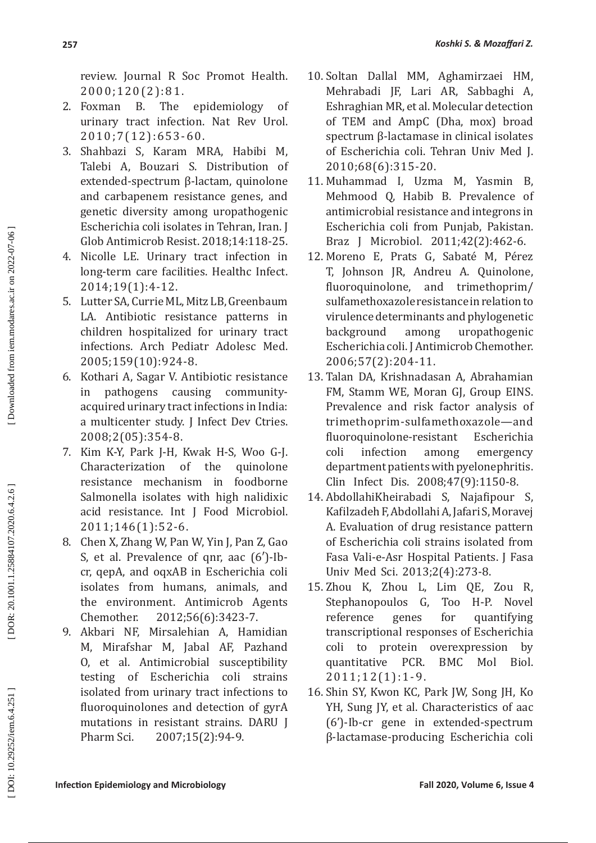review. Journal R Soc Promot Health.

- 2000;120(2):81.<br>Foxman B. The 2. Foxman B. The epidemiology of urinary tract infection. Nat Rev Urol. 2010;7(12):653-60.
- 3. Shahbazi S, Karam MRA, Habibi M, Talebi A, Bouzari S. Distribution of extended-spectrum β-lactam, quinolone and carbapenem resistance genes, and genetic diversity among uropathogenic Escherichia coli isolates in Tehran, Iran. J Glob Antimicrob Resist. 2018;14:118-25.
- 4. Nicolle LE. Urinary tract infection in long-term care facilities. Healthc Infect. 2014;19(1):4-12.
- 5. Lutter SA, Currie ML, Mitz LB, Greenbaum LA. Antibiotic resistance patterns in children hospitalized for urinary tract infections. Arch Pediatr Adolesc Med. 2005;159(10):924-8.
- 6. Kothari A, Sagar V. Antibiotic resistance in pathogens causing communityacquired urinary tract infections in India: a multicenter study. J Infect Dev Ctries. 2008;2(05):354-8.
- 7. Kim K-Y, Park J-H, Kwak H-S, Woo G-J. Characterization of resistance mechanism in foodborne Salmonella isolates with high nalidixic acid resistance. Int J Food Microbiol. 2011;146(1):52-6.
- 8. Chen X, Zhang W, Pan W, Yin J, Pan Z, Gao S, et al. Prevalence of qnr, aac (6′)-Ibcr, qepA, and oqxAB in Escherichia coli isolates from humans, animals, and the environment. Antimicrob Agents Chemother. 2012;56(6):3423-7.
- 9. Akbari NF, Mirsalehian A, Hamidian M, Mirafshar M, Jabal AF, Pazhand O, et al. Antimicrobial susceptibility testing of Escherichia coli strains isolated from urinary tract infections to fluoroquinolones and detection of gyrA mutations in resistant strains. DARU J Pharm Sci. 2007;15(2):94-9.
- 10. Soltan Dallal MM, Aghamirzaei HM, Mehrabadi JF, Lari AR, Sabbaghi A, Eshraghian MR, et al. Molecular detection of TEM and AmpC (Dha, mox) broad spectrum β-lactamase in clinical isolates of Escherichia coli. Tehran Univ Med J. 2010;68(6):315-20.
- 11. Muhammad I, Uzma M, Yasmin B, Mehmood Q, Habib B. Prevalence of antimicrobial resistance and integrons in Escherichia coli from Punjab, Pakistan. Braz J Microbiol. 2011;42(2):462-6.
- 12. Moreno E, Prats G, Sabaté M, Pérez T, Johnson JR, Andreu A. Quinolone, fluoroquinolone, and trimethoprim/ sulfamethoxazole resistance in relation to virulence determinants and phylogenetic background among uropathogenic Escherichia coli. J Antimicrob Chemother. 2006;57(2):204-11.
- 13. Talan DA, Krishnadasan A, Abrahamian FM, Stamm WE, Moran GJ, Group EINS. Prevalence and risk factor analysis of trimethoprim-sulfamethoxazole—and fluoroquinolone-resistant Escherichia coli infection among emergency department patients with pyelonephritis. Clin Infect Dis. 2008;47(9):1150-8.
- 14. AbdollahiKheirabadi S, Najafipour S, Kafilzadeh F, Abdollahi A, Jafari S, Moravej A. Evaluation of drug resistance pattern of Escherichia coli strains isolated from Fasa Vali-e-Asr Hospital Patients. J Fasa Univ Med Sci. 2013;2(4):273-8.
- 15. Zhou K, Zhou L, Lim QE, Zou R, Stephanopoulos G,<br>reference genes reference genes for quantifying transcriptional responses of Escherichia coli to protein overexpression by<br>quantitative PCR. BMC Mol Biol. quantitative PCR. BMC Mol Biol. 2011;12(1):1-9.
- 16. Shin SY, Kwon KC, Park JW, Song JH, Ko YH, Sung JY, et al. Characteristics of aac (6')-Ib-cr gene in extended-spectrum β-lactamase-producing Escherichia coli